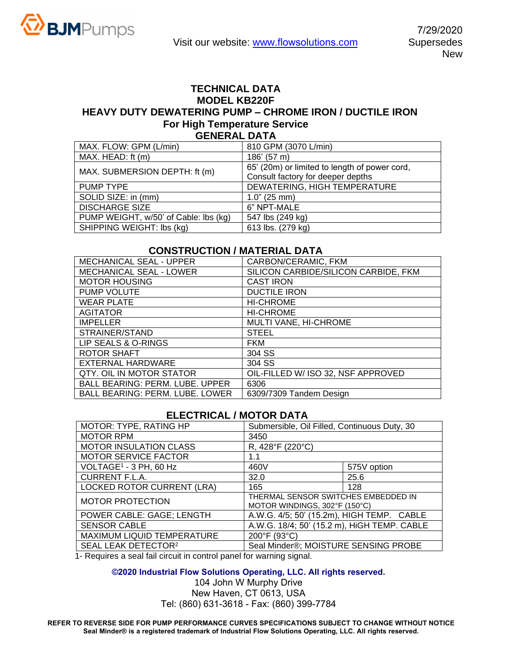## **TECHNICAL DATA MODEL KB220F HEAVY DUTY DEWATERING PUMP – CHROME IRON / DUCTILE IRON For High Temperature Service GENERAL DATA**

| 810 GPM (3070 L/min)                          |  |  |  |
|-----------------------------------------------|--|--|--|
| 186' (57 m)                                   |  |  |  |
| 65' (20m) or limited to length of power cord, |  |  |  |
| Consult factory for deeper depths             |  |  |  |
| DEWATERING, HIGH TEMPERATURE                  |  |  |  |
| $1.0$ " (25 mm)                               |  |  |  |
| 6" NPT-MALE                                   |  |  |  |
| 547 lbs (249 kg)                              |  |  |  |
| 613 lbs. (279 kg)                             |  |  |  |
|                                               |  |  |  |

## **CONSTRUCTION / MATERIAL DATA**

| <b>MECHANICAL SEAL - UPPER</b>         | CARBON/CERAMIC, FKM                  |  |
|----------------------------------------|--------------------------------------|--|
| <b>MECHANICAL SEAL - LOWER</b>         | SILICON CARBIDE/SILICON CARBIDE, FKM |  |
| <b>MOTOR HOUSING</b>                   | <b>CAST IRON</b>                     |  |
| <b>PUMP VOLUTE</b>                     | <b>DUCTILE IRON</b>                  |  |
| <b>WEAR PLATE</b>                      | <b>HI-CHROME</b>                     |  |
| <b>AGITATOR</b>                        | <b>HI-CHROME</b>                     |  |
| <b>IMPELLER</b>                        | MULTI VANE, HI-CHROME                |  |
| STRAINER/STAND                         | <b>STEEL</b>                         |  |
| LIP SEALS & O-RINGS                    | <b>FKM</b>                           |  |
| ROTOR SHAFT                            | 304 SS                               |  |
| EXTERNAL HARDWARE                      | 304 SS                               |  |
| QTY. OIL IN MOTOR STATOR               | OIL-FILLED W/ ISO 32, NSF APPROVED   |  |
| <b>BALL BEARING: PERM. LUBE. UPPER</b> | 6306                                 |  |
| <b>BALL BEARING: PERM. LUBE. LOWER</b> | 6309/7309 Tandem Design              |  |

## **ELECTRICAL / MOTOR DATA**

| MOTOR: TYPE, RATING HP             | Submersible, Oil Filled, Continuous Duty, 30                         |             |  |
|------------------------------------|----------------------------------------------------------------------|-------------|--|
| <b>MOTOR RPM</b>                   | 3450                                                                 |             |  |
| <b>MOTOR INSULATION CLASS</b>      | R, 428°F (220°C)                                                     |             |  |
| <b>MOTOR SERVICE FACTOR</b>        | 1.1                                                                  |             |  |
| VOLTAGE <sup>1</sup> - 3 PH, 60 Hz | 460V                                                                 | 575V option |  |
| <b>CURRENT F.L.A.</b>              | 32.0                                                                 | 25.6        |  |
| <b>LOCKED ROTOR CURRENT (LRA)</b>  | 165                                                                  | 128         |  |
| <b>MOTOR PROTECTION</b>            | THERMAL SENSOR SWITCHES EMBEDDED IN<br>MOTOR WINDINGS, 302°F (150°C) |             |  |
| POWER CABLE: GAGE; LENGTH          | A.W.G. 4/5; 50' (15.2m), HIGH TEMP. CABLE                            |             |  |
| <b>SENSOR CABLE</b>                | A.W.G. 18/4; 50' (15.2 m), HiGH TEMP. CABLE                          |             |  |
| MAXIMUM LIQUID TEMPERATURE         | 200°F (93°C)                                                         |             |  |
| SEAL LEAK DETECTOR <sup>2</sup>    | Seal Minder®; MOISTURE SENSING PROBE                                 |             |  |

1- Requires a seal fail circuit in control panel for warning signal.

## **©2020 Industrial Flow Solutions Operating, LLC. All rights reserved.**

104 John W Murphy Drive New Haven, CT 0613, USA Tel: (860) 631-3618 - Fax: (860) 399-7784